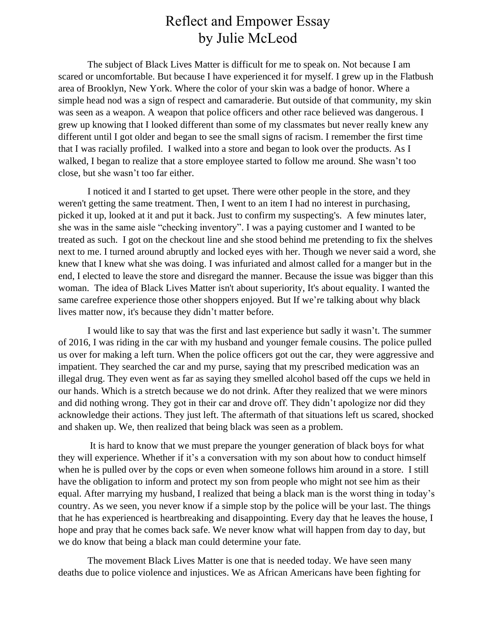## Reflect and Empower Essay by Julie McLeod

The subject of Black Lives Matter is difficult for me to speak on. Not because I am scared or uncomfortable. But because I have experienced it for myself. I grew up in the Flatbush area of Brooklyn, New York. Where the color of your skin was a badge of honor. Where a simple head nod was a sign of respect and camaraderie. But outside of that community, my skin was seen as a weapon. A weapon that police officers and other race believed was dangerous. I grew up knowing that I looked different than some of my classmates but never really knew any different until I got older and began to see the small signs of racism. I remember the first time that I was racially profiled. I walked into a store and began to look over the products. As I walked, I began to realize that a store employee started to follow me around. She wasn't too close, but she wasn't too far either.

I noticed it and I started to get upset. There were other people in the store, and they weren't getting the same treatment. Then, I went to an item I had no interest in purchasing, picked it up, looked at it and put it back. Just to confirm my suspecting's. A few minutes later, she was in the same aisle "checking inventory". I was a paying customer and I wanted to be treated as such. I got on the checkout line and she stood behind me pretending to fix the shelves next to me. I turned around abruptly and locked eyes with her. Though we never said a word, she knew that I knew what she was doing. I was infuriated and almost called for a manger but in the end, I elected to leave the store and disregard the manner. Because the issue was bigger than this woman. The idea of Black Lives Matter isn't about superiority, It's about equality. I wanted the same carefree experience those other shoppers enjoyed. But If we're talking about why black lives matter now, it's because they didn't matter before.

I would like to say that was the first and last experience but sadly it wasn't. The summer of 2016, I was riding in the car with my husband and younger female cousins. The police pulled us over for making a left turn. When the police officers got out the car, they were aggressive and impatient. They searched the car and my purse, saying that my prescribed medication was an illegal drug. They even went as far as saying they smelled alcohol based off the cups we held in our hands. Which is a stretch because we do not drink. After they realized that we were minors and did nothing wrong. They got in their car and drove off. They didn't apologize nor did they acknowledge their actions. They just left. The aftermath of that situations left us scared, shocked and shaken up. We, then realized that being black was seen as a problem.

It is hard to know that we must prepare the younger generation of black boys for what they will experience. Whether if it's a conversation with my son about how to conduct himself when he is pulled over by the cops or even when someone follows him around in a store. I still have the obligation to inform and protect my son from people who might not see him as their equal. After marrying my husband, I realized that being a black man is the worst thing in today's country. As we seen, you never know if a simple stop by the police will be your last. The things that he has experienced is heartbreaking and disappointing. Every day that he leaves the house, I hope and pray that he comes back safe. We never know what will happen from day to day, but we do know that being a black man could determine your fate.

The movement Black Lives Matter is one that is needed today. We have seen many deaths due to police violence and injustices. We as African Americans have been fighting for